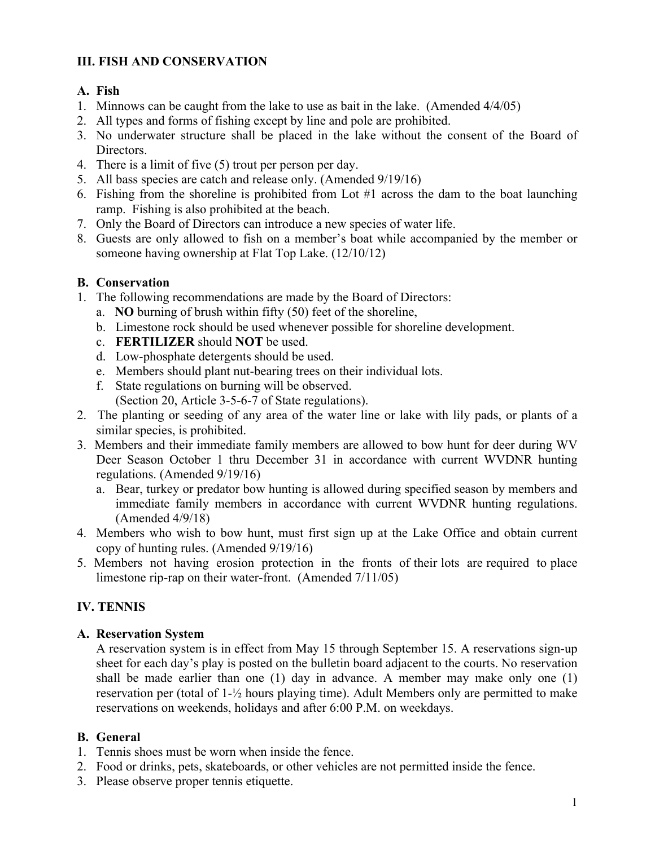## **III. FISH AND CONSERVATION**

#### **A. Fish**

- 1. Minnows can be caught from the lake to use as bait in the lake. (Amended 4/4/05)
- 2. All types and forms of fishing except by line and pole are prohibited.
- 3. No underwater structure shall be placed in the lake without the consent of the Board of Directors.
- 4. There is a limit of five (5) trout per person per day.
- 5. All bass species are catch and release only. (Amended 9/19/16)
- 6. Fishing from the shoreline is prohibited from Lot #1 across the dam to the boat launching ramp. Fishing is also prohibited at the beach.
- 7. Only the Board of Directors can introduce a new species of water life.
- 8. Guests are only allowed to fish on a member's boat while accompanied by the member or someone having ownership at Flat Top Lake. (12/10/12)

### **B. Conservation**

- 1. The following recommendations are made by the Board of Directors:
	- a. **NO** burning of brush within fifty (50) feet of the shoreline,
	- b. Limestone rock should be used whenever possible for shoreline development.
	- c. **FERTILIZER** should **NOT** be used.
	- d. Low-phosphate detergents should be used.
	- e. Members should plant nut-bearing trees on their individual lots.
	- f. State regulations on burning will be observed. (Section 20, Article 3-5-6-7 of State regulations).
- 2. The planting or seeding of any area of the water line or lake with lily pads, or plants of a similar species, is prohibited.
- 3. Members and their immediate family members are allowed to bow hunt for deer during WV Deer Season October 1 thru December 31 in accordance with current WVDNR hunting regulations. (Amended 9/19/16)
	- a. Bear, turkey or predator bow hunting is allowed during specified season by members and immediate family members in accordance with current WVDNR hunting regulations. (Amended 4/9/18)
- 4. Members who wish to bow hunt, must first sign up at the Lake Office and obtain current copy of hunting rules. (Amended 9/19/16)
- 5. Members not having erosion protection in the fronts of their lots are required to place limestone rip-rap on their water-front. (Amended 7/11/05)

# **IV. TENNIS**

### **A. Reservation System**

A reservation system is in effect from May 15 through September 15. A reservations sign-up sheet for each day's play is posted on the bulletin board adjacent to the courts. No reservation shall be made earlier than one (1) day in advance. A member may make only one (1) reservation per (total of 1-½ hours playing time). Adult Members only are permitted to make reservations on weekends, holidays and after 6:00 P.M. on weekdays.

### **B. General**

- 1. Tennis shoes must be worn when inside the fence.
- 2. Food or drinks, pets, skateboards, or other vehicles are not permitted inside the fence.
- 3. Please observe proper tennis etiquette.